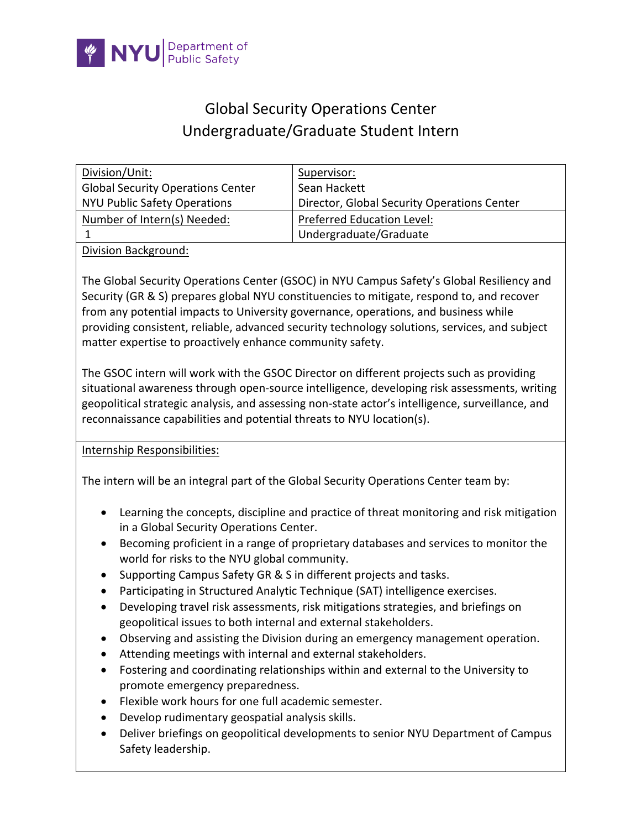

## Global Security Operations Center Undergraduate/Graduate Student Intern

| Division/Unit:                           | Supervisor:                                 |
|------------------------------------------|---------------------------------------------|
| <b>Global Security Operations Center</b> | Sean Hackett                                |
| <b>NYU Public Safety Operations</b>      | Director, Global Security Operations Center |
| Number of Intern(s) Needed:              | <b>Preferred Education Level:</b>           |
|                                          | Undergraduate/Graduate                      |
|                                          |                                             |

Division Background:

The Global Security Operations Center (GSOC) in NYU Campus Safety's Global Resiliency and Security (GR & S) prepares global NYU constituencies to mitigate, respond to, and recover from any potential impacts to University governance, operations, and business while providing consistent, reliable, advanced security technology solutions, services, and subject matter expertise to proactively enhance community safety.

The GSOC intern will work with the GSOC Director on different projects such as providing situational awareness through open-source intelligence, developing risk assessments, writing geopolitical strategic analysis, and assessing non-state actor's intelligence, surveillance, and reconnaissance capabilities and potential threats to NYU location(s).

Internship Responsibilities:

The intern will be an integral part of the Global Security Operations Center team by:

- Learning the concepts, discipline and practice of threat monitoring and risk mitigation in a Global Security Operations Center.
- Becoming proficient in a range of proprietary databases and services to monitor the world for risks to the NYU global community.
- Supporting Campus Safety GR & S in different projects and tasks.
- Participating in Structured Analytic Technique (SAT) intelligence exercises.
- Developing travel risk assessments, risk mitigations strategies, and briefings on geopolitical issues to both internal and external stakeholders.
- Observing and assisting the Division during an emergency management operation.
- Attending meetings with internal and external stakeholders.
- Fostering and coordinating relationships within and external to the University to promote emergency preparedness.
- Flexible work hours for one full academic semester.
- Develop rudimentary geospatial analysis skills.
- Deliver briefings on geopolitical developments to senior NYU Department of Campus Safety leadership.